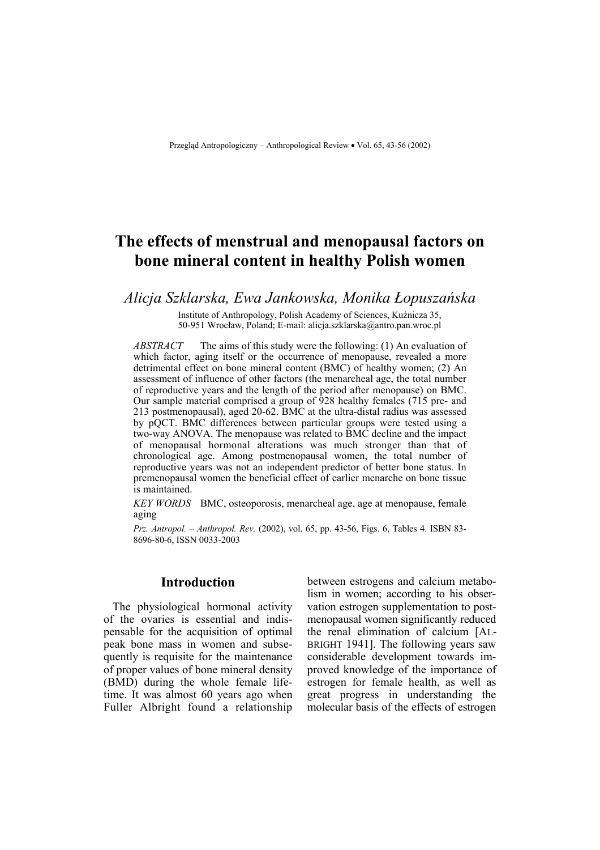# **The effects of menstrual and menopausal factors on bone mineral content in healthy Polish women**

*Alicja Szklarska, Ewa Jankowska, Monika Łopuszańska*

Institute of Anthropology, Polish Academy of Sciences, Kuźnicza 35, 50-951 Wrocław, Poland; E-mail: alicja.szklarska@antro.pan.wroc.pl

*ABSTRACT* The aims of this study were the following: (1) An evaluation of which factor, aging itself or the occurrence of menopause, revealed a more detrimental effect on bone mineral content (BMC) of healthy women; (2) An assessment of influence of other factors (the menarcheal age, the total number of reproductive years and the length of the period after menopause) on BMC. Our sample material comprised a group of 928 healthy females (715 pre- and 213 postmenopausal), aged 20-62. BMC at the ultra-distal radius was assessed by pQCT. BMC differences between particular groups were tested using a two-way ANOVA. The menopause was related to BMC decline and the impact of menopausal hormonal alterations was much stronger than that of chronological age. Among postmenopausal women, the total number of reproductive years was not an independent predictor of better bone status. In premenopausal women the beneficial effect of earlier menarche on bone tissue is maintained.

*KEY WORDS* BMC, osteoporosis, menarcheal age, age at menopause, female aging

*Prz. Antropol. – Anthropol. Rev.* (2002), vol. 65, pp. 43-56, Figs. 6, Tables 4. ISBN 83- 8696-80-6, ISSN 0033-2003

## **Introduction**

The physiological hormonal activity of the ovaries is essential and indispensable for the acquisition of optimal peak bone mass in women and subsequently is requisite for the maintenance of proper values of bone mineral density (BMD) during the whole female lifetime. It was almost 60 years ago when Fuller Albright found a relationship between estrogens and calcium metabolism in women; according to his observation estrogen supplementation to postmenopausal women significantly reduced the renal elimination of calcium [AL-BRIGHT 1941]. The following years saw considerable development towards improved knowledge of the importance of estrogen for female health, as well as great progress in understanding the molecular basis of the effects of estrogen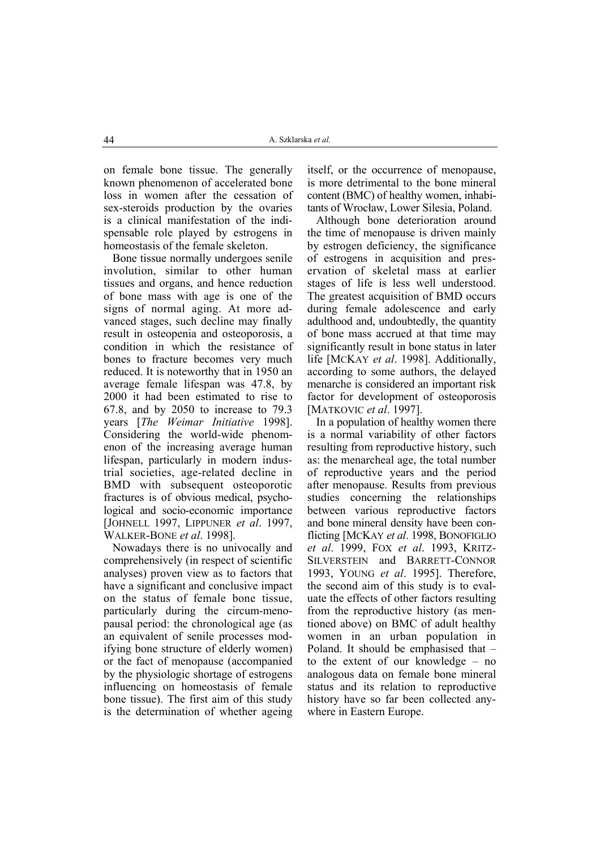on female bone tissue. The generally known phenomenon of accelerated bone loss in women after the cessation of sex-steroids production by the ovaries is a clinical manifestation of the indispensable role played by estrogens in homeostasis of the female skeleton.

Bone tissue normally undergoes senile involution, similar to other human tissues and organs, and hence reduction of bone mass with age is one of the signs of normal aging. At more advanced stages, such decline may finally result in osteopenia and osteoporosis, a condition in which the resistance of bones to fracture becomes very much reduced. It is noteworthy that in 1950 an average female lifespan was 47.8, by 2000 it had been estimated to rise to 67.8, and by 2050 to increase to 79.3 years [*The Weimar Initiative* 1998]. Considering the world-wide phenomenon of the increasing average human lifespan, particularly in modern industrial societies, age-related decline in BMD with subsequent osteoporotic fractures is of obvious medical, psychological and socio-economic importance [JOHNELL 1997, LIPPUNER *et al*. 1997, WALKER-BONE *et al*. 1998].

Nowadays there is no univocally and comprehensively (in respect of scientific analyses) proven view as to factors that have a significant and conclusive impact on the status of female bone tissue, particularly during the circum-menopausal period: the chronological age (as an equivalent of senile processes modifying bone structure of elderly women) or the fact of menopause (accompanied by the physiologic shortage of estrogens influencing on homeostasis of female bone tissue). The first aim of this study is the determination of whether ageing itself, or the occurrence of menopause, is more detrimental to the bone mineral content (BMC) of healthy women, inhabitants of Wrocław, Lower Silesia, Poland.

Although bone deterioration around the time of menopause is driven mainly by estrogen deficiency, the significance of estrogens in acquisition and preservation of skeletal mass at earlier stages of life is less well understood. The greatest acquisition of BMD occurs during female adolescence and early adulthood and, undoubtedly, the quantity of bone mass accrued at that time may significantly result in bone status in later life [MCKAY *et al*. 1998]. Additionally, according to some authors, the delayed menarche is considered an important risk factor for development of osteoporosis [MATKOVIC *et al*. 1997].

In a population of healthy women there is a normal variability of other factors resulting from reproductive history, such as: the menarcheal age, the total number of reproductive years and the period after menopause. Results from previous studies concerning the relationships between various reproductive factors and bone mineral density have been conflicting [MCKAY *et al*. 1998, BONOFIGLIO *et al*. 1999, FOX *et al*. 1993, KRITZ-SILVERSTEIN and BARRETT-CONNOR 1993, YOUNG *et al*. 1995]. Therefore, the second aim of this study is to evaluate the effects of other factors resulting from the reproductive history (as mentioned above) on BMC of adult healthy women in an urban population in Poland. It should be emphasised that – to the extent of our knowledge – no analogous data on female bone mineral status and its relation to reproductive history have so far been collected anywhere in Eastern Europe.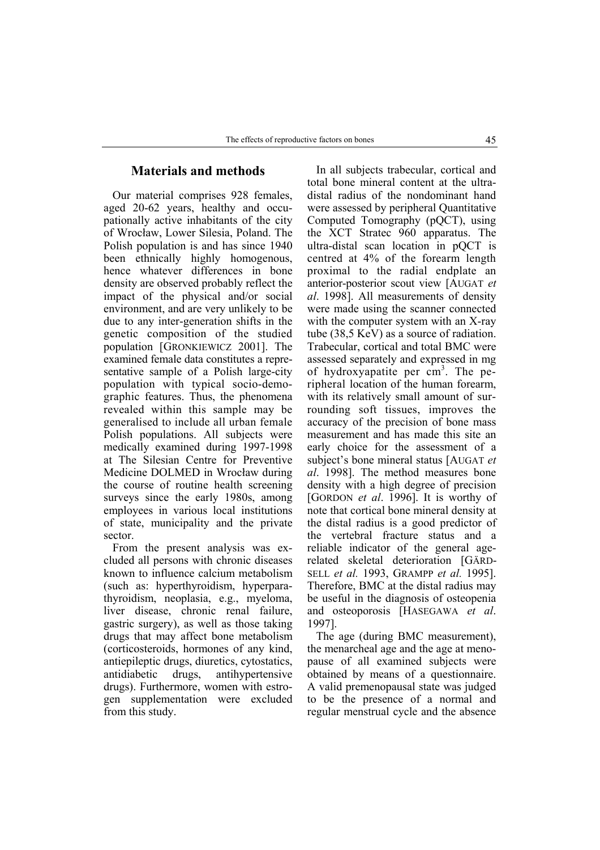# **Materials and methods**

Our material comprises 928 females, aged 20-62 years, healthy and occupationally active inhabitants of the city of Wrocław, Lower Silesia, Poland. The Polish population is and has since 1940 been ethnically highly homogenous, hence whatever differences in bone density are observed probably reflect the impact of the physical and/or social environment, and are very unlikely to be due to any inter-generation shifts in the genetic composition of the studied population [GRONKIEWICZ 2001]. The examined female data constitutes a representative sample of a Polish large-city population with typical socio-demographic features. Thus, the phenomena revealed within this sample may be generalised to include all urban female Polish populations. All subjects were medically examined during 1997-1998 at The Silesian Centre for Preventive Medicine DOLMED in Wrocław during the course of routine health screening surveys since the early 1980s, among employees in various local institutions of state, municipality and the private sector.

From the present analysis was excluded all persons with chronic diseases known to influence calcium metabolism (such as: hyperthyroidism, hyperparathyroidism, neoplasia, e.g., myeloma, liver disease, chronic renal failure, gastric surgery), as well as those taking drugs that may affect bone metabolism (corticosteroids, hormones of any kind, antiepileptic drugs, diuretics, cytostatics, antidiabetic drugs, antihypertensive drugs). Furthermore, women with estrogen supplementation were excluded from this study.

In all subjects trabecular, cortical and total bone mineral content at the ultradistal radius of the nondominant hand were assessed by peripheral Quantitative Computed Tomography (pQCT), using the XCT Stratec 960 apparatus. The ultra-distal scan location in pQCT is centred at 4% of the forearm length proximal to the radial endplate an anterior-posterior scout view [AUGAT *et al*. 1998]. All measurements of density were made using the scanner connected with the computer system with an X-ray tube (38,5 KeV) as a source of radiation. Trabecular, cortical and total BMC were assessed separately and expressed in mg of hydroxyapatite per  $cm<sup>3</sup>$ . The peripheral location of the human forearm, with its relatively small amount of surrounding soft tissues, improves the accuracy of the precision of bone mass measurement and has made this site an early choice for the assessment of a subject's bone mineral status [AUGAT *et al*. 1998]. The method measures bone density with a high degree of precision [GORDON *et al*. 1996]. It is worthy of note that cortical bone mineral density at the distal radius is a good predictor of the vertebral fracture status and a reliable indicator of the general agerelated skeletal deterioration [GÄRD-SELL *et al.* 1993, GRAMPP *et al.* 1995]. Therefore, BMC at the distal radius may be useful in the diagnosis of osteopenia and osteoporosis [HASEGAWA *et al*. 1997].

The age (during BMC measurement), the menarcheal age and the age at menopause of all examined subjects were obtained by means of a questionnaire. A valid premenopausal state was judged to be the presence of a normal and regular menstrual cycle and the absence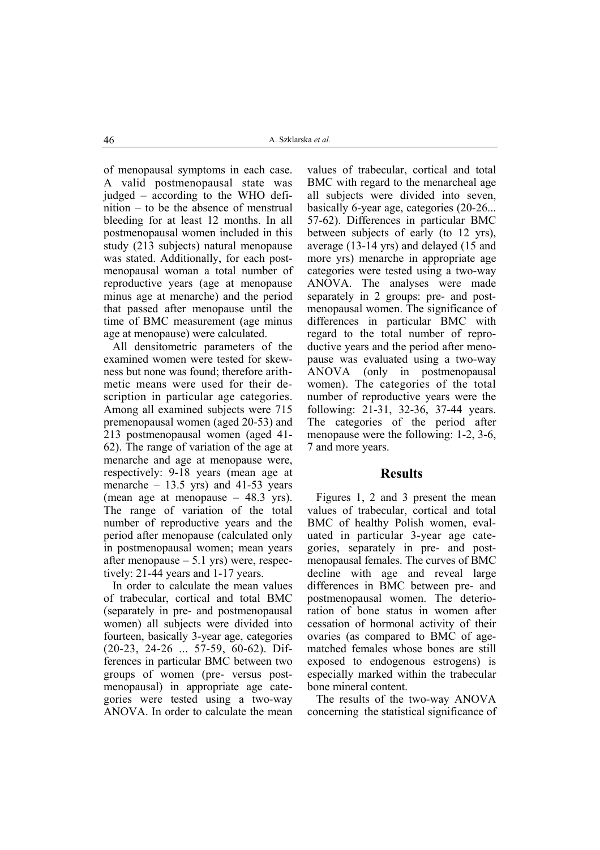of menopausal symptoms in each case. A valid postmenopausal state was judged – according to the WHO definition – to be the absence of menstrual bleeding for at least 12 months. In all postmenopausal women included in this study (213 subjects) natural menopause was stated. Additionally, for each postmenopausal woman a total number of reproductive years (age at menopause minus age at menarche) and the period that passed after menopause until the time of BMC measurement (age minus age at menopause) were calculated.

All densitometric parameters of the examined women were tested for skewness but none was found; therefore arithmetic means were used for their description in particular age categories. Among all examined subjects were 715 premenopausal women (aged 20-53) and 213 postmenopausal women (aged 41- 62). The range of variation of the age at menarche and age at menopause were, respectively: 9-18 years (mean age at menarche  $-13.5$  yrs) and 41-53 years (mean age at menopause – 48.3 yrs). The range of variation of the total number of reproductive years and the period after menopause (calculated only in postmenopausal women; mean years after menopause  $-5.1$  yrs) were, respectively: 21-44 years and 1-17 years.

In order to calculate the mean values of trabecular, cortical and total BMC (separately in pre- and postmenopausal women) all subjects were divided into fourteen, basically 3-year age, categories (20-23, 24-26 ... 57-59, 60-62). Differences in particular BMC between two groups of women (pre- versus postmenopausal) in appropriate age categories were tested using a two-way ANOVA. In order to calculate the mean

values of trabecular, cortical and total BMC with regard to the menarcheal age all subjects were divided into seven, basically 6-year age, categories (20-26... 57-62). Differences in particular BMC between subjects of early (to 12 yrs), average (13-14 yrs) and delayed (15 and more yrs) menarche in appropriate age categories were tested using a two-way ANOVA. The analyses were made separately in 2 groups: pre- and postmenopausal women. The significance of differences in particular BMC with regard to the total number of reproductive years and the period after menopause was evaluated using a two-way ANOVA (only in postmenopausal women). The categories of the total number of reproductive years were the following: 21-31, 32-36, 37-44 years. The categories of the period after menopause were the following: 1-2, 3-6, 7 and more years.

#### **Results**

Figures 1, 2 and 3 present the mean values of trabecular, cortical and total BMC of healthy Polish women, evaluated in particular 3-year age categories, separately in pre- and postmenopausal females. The curves of BMC decline with age and reveal large differences in BMC between pre- and postmenopausal women. The deterioration of bone status in women after cessation of hormonal activity of their ovaries (as compared to BMC of agematched females whose bones are still exposed to endogenous estrogens) is especially marked within the trabecular bone mineral content.

The results of the two-way ANOVA concerning the statistical significance of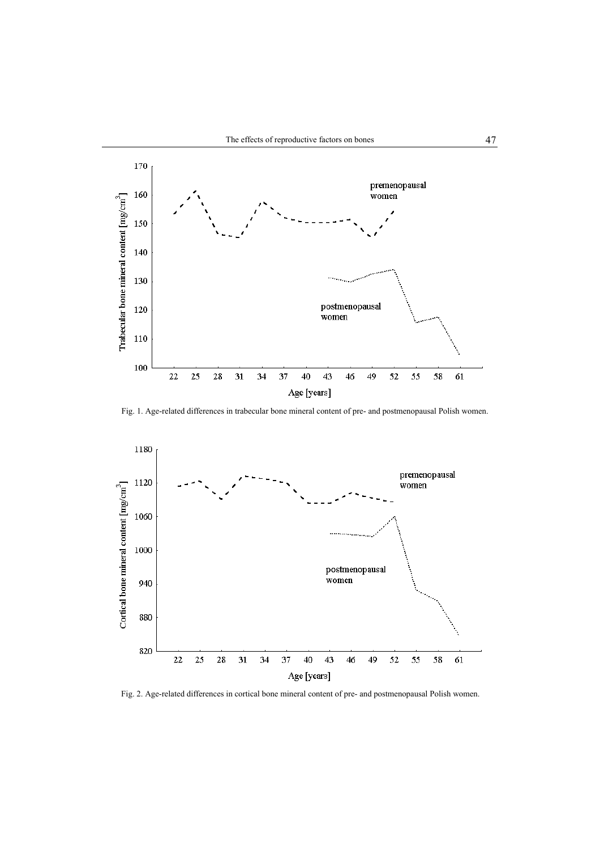

Fig. 1. Age-related differences in trabecular bone mineral content of pre- and postmenopausal Polish women.



Fig. 2. Age-related differences in cortical bone mineral content of pre- and postmenopausal Polish women.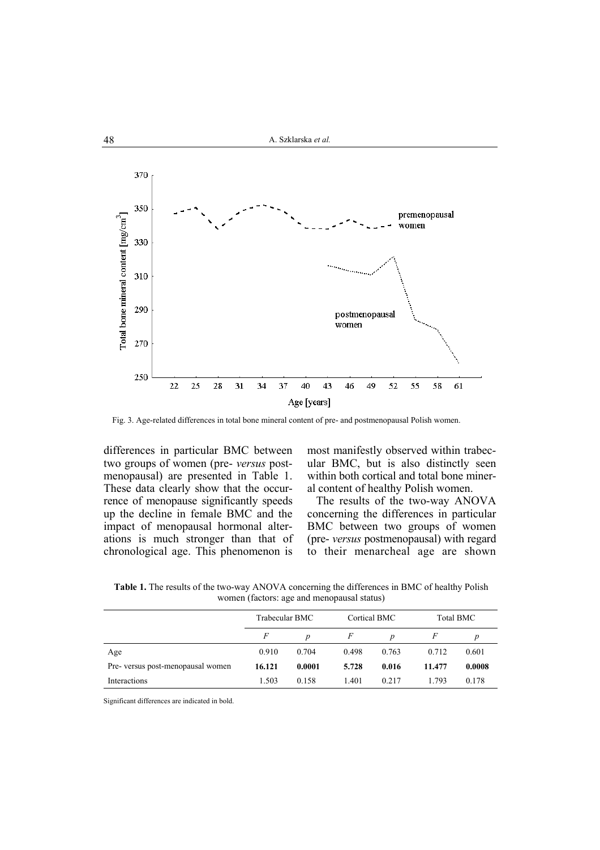

Fig. 3. Age-related differences in total bone mineral content of pre- and postmenopausal Polish women.

differences in particular BMC between two groups of women (pre- *versus* postmenopausal) are presented in Table 1. These data clearly show that the occurrence of menopause significantly speeds up the decline in female BMC and the impact of menopausal hormonal alterations is much stronger than that of chronological age. This phenomenon is

most manifestly observed within trabecular BMC, but is also distinctly seen within both cortical and total bone mineral content of healthy Polish women.

The results of the two-way ANOVA concerning the differences in particular BMC between two groups of women (pre- *versus* postmenopausal) with regard to their menarcheal age are shown

**Table 1.** The results of the two-way ANOVA concerning the differences in BMC of healthy Polish women (factors: age and menopausal status)

|                                   | Trabecular BMC |        | Cortical BMC |       | Total BMC |        |
|-----------------------------------|----------------|--------|--------------|-------|-----------|--------|
|                                   | F              | p      | F            | p     |           | p      |
| Age                               | 0.910          | 0.704  | 0.498        | 0.763 | 0.712     | 0.601  |
| Pre- versus post-menopausal women | 16.121         | 0.0001 | 5.728        | 0.016 | 11.477    | 0.0008 |
| Interactions                      | 1.503          | 0.158  | 1.401        | 0.217 | 1.793     | 0.178  |

Significant differences are indicated in bold.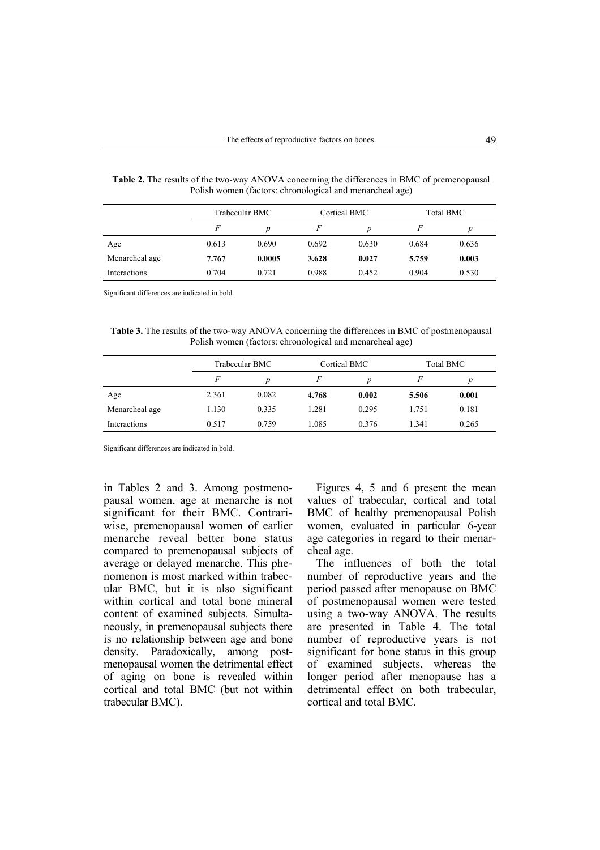|                |       | Trabecular BMC |       | Cortical BMC     |       | Total BMC |  |
|----------------|-------|----------------|-------|------------------|-------|-----------|--|
|                | F     | n              |       | $\boldsymbol{D}$ | F     | D         |  |
| Age            | 0.613 | 0.690          | 0.692 | 0.630            | 0.684 | 0.636     |  |
| Menarcheal age | 7.767 | 0.0005         | 3.628 | 0.027            | 5.759 | 0.003     |  |
| Interactions   | 0.704 | 0.721          | 0.988 | 0.452            | 0.904 | 0.530     |  |

**Table 2.** The results of the two-way ANOVA concerning the differences in BMC of premenopausal Polish women (factors: chronological and menarcheal age)

Significant differences are indicated in bold.

**Table 3.** The results of the two-way ANOVA concerning the differences in BMC of postmenopausal Polish women (factors: chronological and menarcheal age)

|                | Trabecular BMC |       | Cortical BMC |       | Total BMC |       |
|----------------|----------------|-------|--------------|-------|-----------|-------|
|                | F              | D     |              | p     | F         | p     |
| Age            | 2.361          | 0.082 | 4.768        | 0.002 | 5.506     | 0.001 |
| Menarcheal age | 1.130          | 0.335 | 1.281        | 0.295 | 1.751     | 0.181 |
| Interactions   | 0.517          | 0.759 | 1.085        | 0.376 | 1.341     | 0.265 |

Significant differences are indicated in bold.

in Tables 2 and 3. Among postmenopausal women, age at menarche is not significant for their BMC. Contrariwise, premenopausal women of earlier menarche reveal better bone status compared to premenopausal subjects of average or delayed menarche. This phenomenon is most marked within trabecular BMC, but it is also significant within cortical and total bone mineral content of examined subjects. Simultaneously, in premenopausal subjects there is no relationship between age and bone density. Paradoxically, among postmenopausal women the detrimental effect of aging on bone is revealed within cortical and total BMC (but not within trabecular BMC).

Figures 4, 5 and 6 present the mean values of trabecular, cortical and total BMC of healthy premenopausal Polish women, evaluated in particular 6-year age categories in regard to their menarcheal age.

The influences of both the total number of reproductive years and the period passed after menopause on BMC of postmenopausal women were tested using a two-way ANOVA. The results are presented in Table 4. The total number of reproductive years is not significant for bone status in this group of examined subjects, whereas the longer period after menopause has a detrimental effect on both trabecular, cortical and total BMC.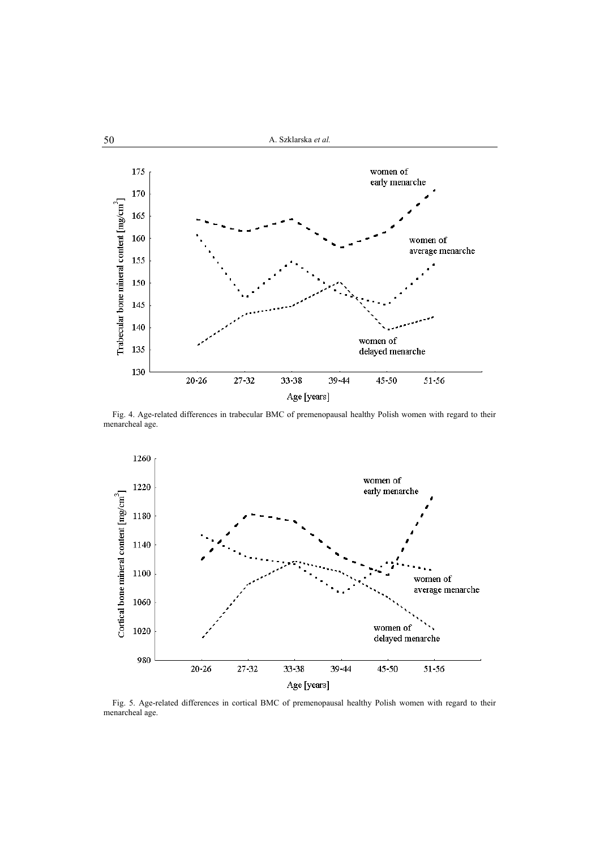

Fig. 4. Age-related differences in trabecular BMC of premenopausal healthy Polish women with regard to their menarcheal age.



Fig. 5. Age-related differences in cortical BMC of premenopausal healthy Polish women with regard to their menarcheal age.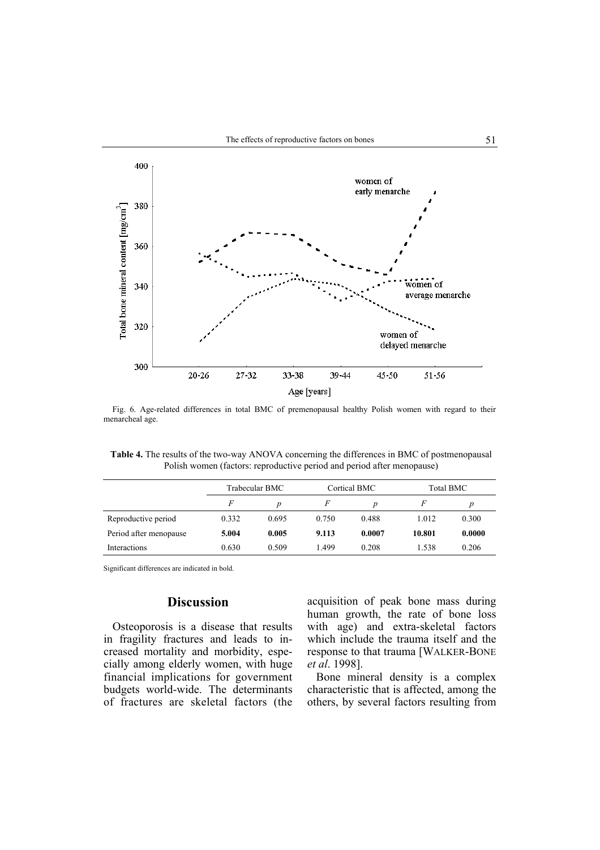

Fig. 6. Age-related differences in total BMC of premenopausal healthy Polish women with regard to their menarcheal age.

**Table 4.** The results of the two-way ANOVA concerning the differences in BMC of postmenopausal Polish women (factors: reproductive period and period after menopause)

|                        | Trabecular BMC |       | Cortical BMC |        | Total BMC |        |
|------------------------|----------------|-------|--------------|--------|-----------|--------|
|                        | F              | Ď     | F            | p      |           | p      |
| Reproductive period    | 0.332          | 0.695 | 0.750        | 0.488  | 1.012     | 0.300  |
| Period after menopause | 5.004          | 0.005 | 9.113        | 0.0007 | 10.801    | 0.0000 |
| Interactions           | 0.630          | 0.509 | 1.499        | 0.208  | 1.538     | 0.206  |

Significant differences are indicated in bold.

# **Discussion**

Osteoporosis is a disease that results in fragility fractures and leads to increased mortality and morbidity, especially among elderly women, with huge financial implications for government budgets world-wide. The determinants of fractures are skeletal factors (the acquisition of peak bone mass during human growth, the rate of bone loss with age) and extra-skeletal factors which include the trauma itself and the response to that trauma [WALKER-BONE *et al*. 1998].

Bone mineral density is a complex characteristic that is affected, among the others, by several factors resulting from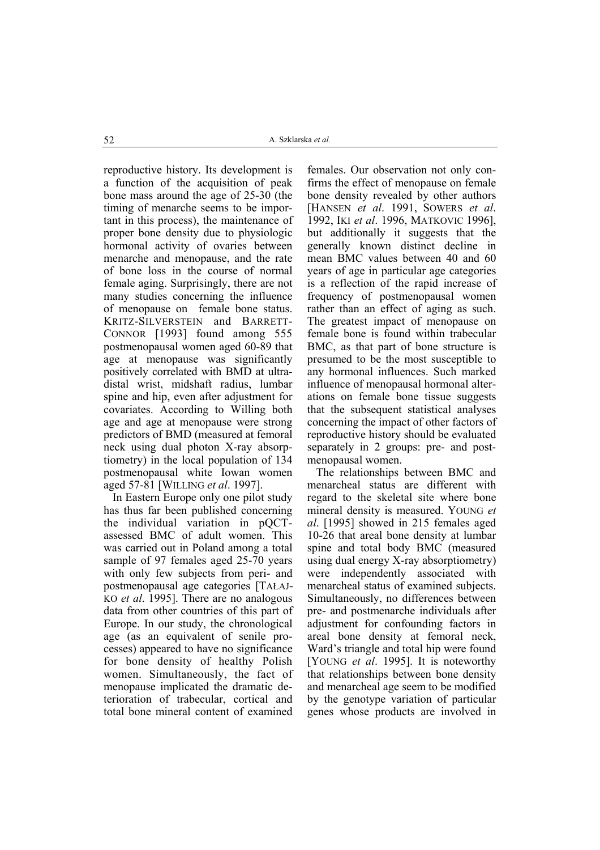reproductive history. Its development is a function of the acquisition of peak bone mass around the age of 25-30 (the timing of menarche seems to be important in this process), the maintenance of proper bone density due to physiologic hormonal activity of ovaries between menarche and menopause, and the rate of bone loss in the course of normal female aging. Surprisingly, there are not many studies concerning the influence of menopause on female bone status. KRITZ-SILVERSTEIN and BARRETT-CONNOR [1993] found among 555 postmenopausal women aged 60-89 that age at menopause was significantly positively correlated with BMD at ultradistal wrist, midshaft radius, lumbar spine and hip, even after adjustment for covariates. According to Willing both age and age at menopause were strong predictors of BMD (measured at femoral neck using dual photon X-ray absorptiometry) in the local population of 134 postmenopausal white Iowan women aged 57-81 [WILLING *et al*. 1997].

In Eastern Europe only one pilot study has thus far been published concerning the individual variation in pQCTassessed BMC of adult women. This was carried out in Poland among a total sample of 97 females aged 25-70 years with only few subjects from peri- and postmenopausal age categories [TAŁAJ-KO *et al*. 1995]. There are no analogous data from other countries of this part of Europe. In our study, the chronological age (as an equivalent of senile processes) appeared to have no significance for bone density of healthy Polish women. Simultaneously, the fact of menopause implicated the dramatic deterioration of trabecular, cortical and total bone mineral content of examined

females. Our observation not only confirms the effect of menopause on female bone density revealed by other authors [HANSEN *et al*. 1991, SOWERS *et al*. 1992, IKI *et al*. 1996, MATKOVIC 1996], but additionally it suggests that the generally known distinct decline in mean BMC values between 40 and 60 years of age in particular age categories is a reflection of the rapid increase of frequency of postmenopausal women rather than an effect of aging as such. The greatest impact of menopause on female bone is found within trabecular BMC, as that part of bone structure is presumed to be the most susceptible to any hormonal influences. Such marked influence of menopausal hormonal alterations on female bone tissue suggests that the subsequent statistical analyses concerning the impact of other factors of reproductive history should be evaluated separately in 2 groups: pre- and postmenopausal women.

The relationships between BMC and menarcheal status are different with regard to the skeletal site where bone mineral density is measured. YOUNG *et al*. [1995] showed in 215 females aged 10-26 that areal bone density at lumbar spine and total body BMC (measured using dual energy X-ray absorptiometry) were independently associated with menarcheal status of examined subjects. Simultaneously, no differences between pre- and postmenarche individuals after adjustment for confounding factors in areal bone density at femoral neck, Ward's triangle and total hip were found [YOUNG *et al*. 1995]. It is noteworthy that relationships between bone density and menarcheal age seem to be modified by the genotype variation of particular genes whose products are involved in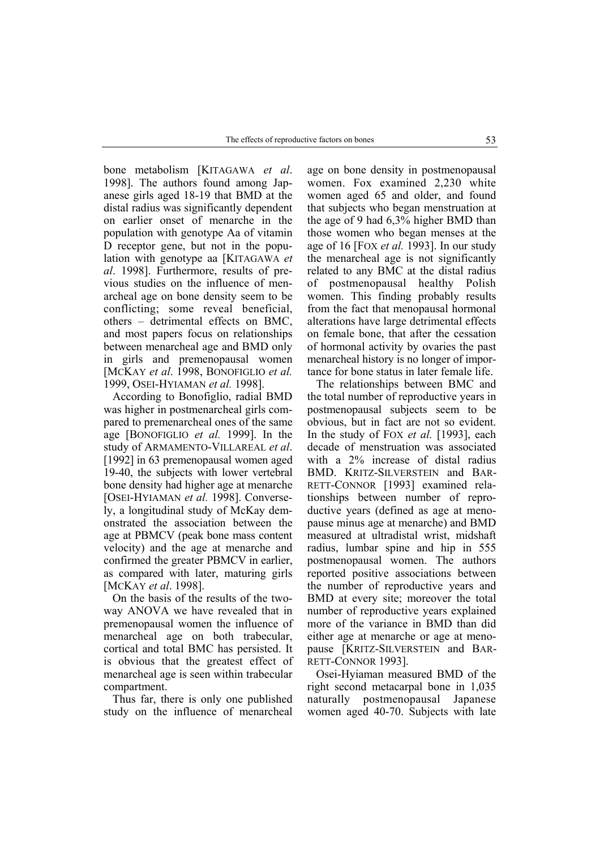bone metabolism [KITAGAWA *et al*. 1998]. The authors found among Japanese girls aged 18-19 that BMD at the distal radius was significantly dependent on earlier onset of menarche in the population with genotype Aa of vitamin D receptor gene, but not in the population with genotype aa [KITAGAWA *et al*. 1998]. Furthermore, results of previous studies on the influence of menarcheal age on bone density seem to be conflicting; some reveal beneficial, others – detrimental effects on BMC, and most papers focus on relationships between menarcheal age and BMD only in girls and premenopausal women [MCKAY *et al*. 1998, BONOFIGLIO *et al.* 1999, OSEI-HYIAMAN *et al.* 1998].

According to Bonofiglio, radial BMD was higher in postmenarcheal girls compared to premenarcheal ones of the same age [BONOFIGLIO *et al.* 1999]. In the study of ARMAMENTO-VILLAREAL *et al*. [1992] in 63 premenopausal women aged 19-40, the subjects with lower vertebral bone density had higher age at menarche [OSEI-HYIAMAN *et al.* 1998]. Conversely, a longitudinal study of McKay demonstrated the association between the age at PBMCV (peak bone mass content velocity) and the age at menarche and confirmed the greater PBMCV in earlier, as compared with later, maturing girls [MCKAY *et al*. 1998].

On the basis of the results of the twoway ANOVA we have revealed that in premenopausal women the influence of menarcheal age on both trabecular, cortical and total BMC has persisted. It is obvious that the greatest effect of menarcheal age is seen within trabecular compartment.

Thus far, there is only one published study on the influence of menarcheal

age on bone density in postmenopausal women. Fox examined 2,230 white women aged 65 and older, and found that subjects who began menstruation at the age of 9 had 6,3% higher BMD than those women who began menses at the age of 16 [FOX *et al.* 1993]. In our study the menarcheal age is not significantly related to any BMC at the distal radius of postmenopausal healthy Polish women. This finding probably results from the fact that menopausal hormonal alterations have large detrimental effects on female bone, that after the cessation of hormonal activity by ovaries the past menarcheal history is no longer of importance for bone status in later female life.

The relationships between BMC and the total number of reproductive years in postmenopausal subjects seem to be obvious, but in fact are not so evident. In the study of FOX *et al.* [1993], each decade of menstruation was associated with a 2% increase of distal radius BMD. KRITZ-SILVERSTEIN and BAR-RETT-CONNOR [1993] examined relationships between number of reproductive years (defined as age at menopause minus age at menarche) and BMD measured at ultradistal wrist, midshaft radius, lumbar spine and hip in 555 postmenopausal women. The authors reported positive associations between the number of reproductive years and BMD at every site; moreover the total number of reproductive years explained more of the variance in BMD than did either age at menarche or age at menopause [KRITZ-SILVERSTEIN and BAR-RETT-CONNOR 1993].

Osei-Hyiaman measured BMD of the right second metacarpal bone in 1,035 naturally postmenopausal Japanese women aged 40-70. Subjects with late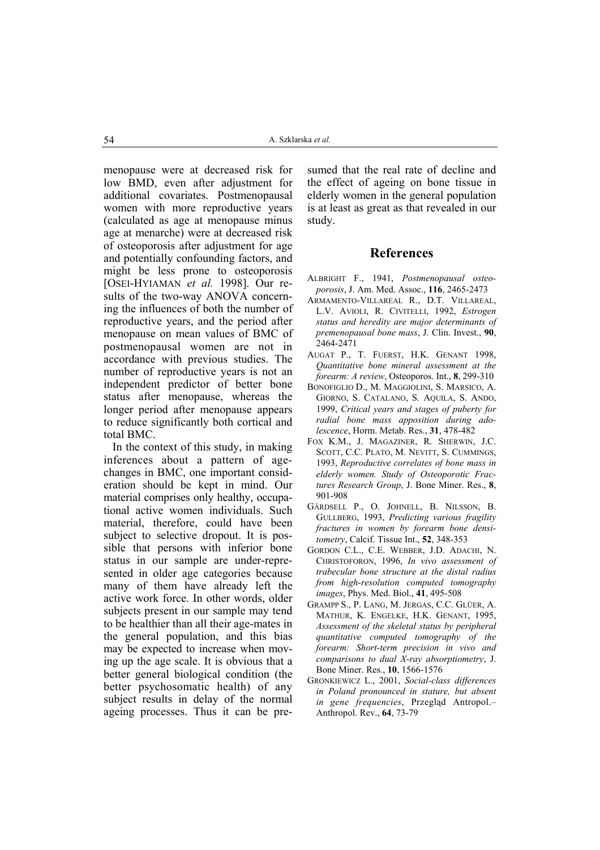menopause were at decreased risk for low BMD, even after adjustment for additional covariates. Postmenopausal women with more reproductive years (calculated as age at menopause minus age at menarche) were at decreased risk of osteoporosis after adjustment for age and potentially confounding factors, and might be less prone to osteoporosis [OSEI-HYIAMAN *et al.* 1998]. Our results of the two-way ANOVA concerning the influences of both the number of reproductive years, and the period after menopause on mean values of BMC of postmenopausal women are not in accordance with previous studies. The number of reproductive years is not an independent predictor of better bone status after menopause, whereas the longer period after menopause appears to reduce significantly both cortical and total BMC.

In the context of this study, in making inferences about a pattern of agechanges in BMC, one important consideration should be kept in mind. Our material comprises only healthy, occupational active women individuals. Such material, therefore, could have been subject to selective dropout. It is possible that persons with inferior bone status in our sample are under-represented in older age categories because many of them have already left the active work force. In other words, older subjects present in our sample may tend to be healthier than all their age-mates in the general population, and this bias may be expected to increase when moving up the age scale. It is obvious that a better general biological condition (the better psychosomatic health) of any subject results in delay of the normal ageing processes. Thus it can be pre-

sumed that the real rate of decline and the effect of ageing on bone tissue in elderly women in the general population is at least as great as that revealed in our study.

### **References**

- ALBRIGHT F., 1941, *Postmenopausal osteoporosis*, J. Am. Med. Assoc., **116**, 2465-2473
- ARMAMENTO-VILLAREAL R., D.T. VILLAREAL, L.V. AVIOLI, R. CIVITELLI, 1992, *Estrogen status and heredity are major determinants of premenopausal bone mass*, J. Clin. Invest., **90**, 2464-2471
- AUGAT P., T. FUERST, H.K. GENANT 1998, *Quantitative bone mineral assessment at the forearm: A review*, Osteoporos. Int., **8**, 299-310
- BONOFIGLIO D., M. MAGGIOLINI, S. MARSICO, A. GIORNO, S. CATALANO, S. AQUILA, S. ANDO, 1999, *Critical years and stages of puberty for radial bone mass apposition during adolescence*, Horm. Metab. Res., **31**, 478-482
- FOX K.M., J. MAGAZINER, R. SHERWIN, J.C. SCOTT, C.C. PLATO, M. NEVITT, S. CUMMINGS, 1993, *Reproductive correlates of bone mass in elderly women. Study of Osteoporotic Fractures Research Group*, J. Bone Miner. Res., **8**, 901-908
- GÄRDSELL P., O. JOHNELL, B. NILSSON, B. GULLBERG, 1993, *Predicting various fragility fractures in women by forearm bone densitometry*, Calcif. Tissue Int., **52**, 348-353
- GORDON C.L., C.E. WEBBER, J.D. ADACHI, N. CHRISTOFORON, 1996, *In vivo assessment of trabecular bone structure at the distal radius from high-resolution computed tomography images*, Phys. Med. Biol., **41**, 495-508
- GRAMPP S., P. LANG, M. JERGAS, C.C. GLÜER, A. MATHUR, K. ENGELKE, H.K. GENANT, 1995, *Assessment of the skeletal status by peripheral quantitative computed tomography of the forearm: Short-term precision in vivo and comparisons to dual X-ray absorptiometry*, J. Bone Miner. Res., **10**, 1566-1576
- GRONKIEWICZ L., 2001, *Social-class differences in Poland pronounced in stature, but absent in gene frequencies*, Przegląd Antropol.– Anthropol. Rev., **64**, 73-79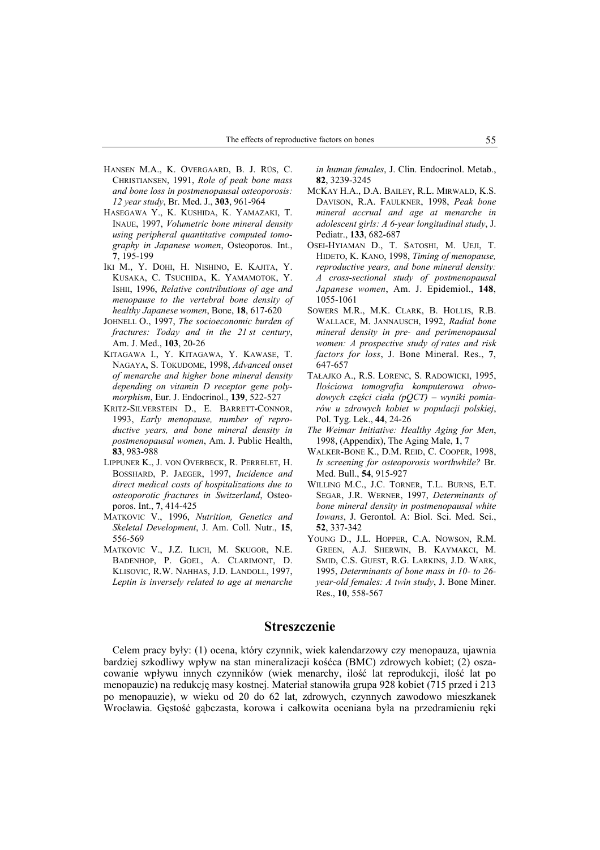- HANSEN M.A., K. OVERGAARD, B. J. RÜS, C. CHRISTIANSEN, 1991, *Role of peak bone mass and bone loss in postmenopausal osteoporosis: 12 year study*, Br. Med. J., **303**, 961-964
- HASEGAWA Y., K. KUSHIDA, K. YAMAZAKI, T. INAUE, 1997, *Volumetric bone mineral density using peripheral quantitative computed tomography in Japanese women*, Osteoporos. Int., **7**, 195-199
- IKI M., Y. DOHI, H. NISHINO, E. KAJITA, Y. KUSAKA, C. TSUCHIDA, K. YAMAMOTOK, Y. ISHII, 1996, *Relative contributions of age and menopause to the vertebral bone density of healthy Japanese women*, Bone, **18**, 617-620
- JOHNELL O., 1997, *The socioeconomic burden of fractures: Today and in the 21 st century*, Am. J. Med., **103**, 20-26
- KITAGAWA I., Y. KITAGAWA, Y. KAWASE, T. NAGAYA, S. TOKUDOME, 1998, *Advanced onset of menarche and higher bone mineral density depending on vitamin D receptor gene polymorphism*, Eur. J. Endocrinol., **139**, 522-527
- KRITZ-SILVERSTEIN D., E. BARRETT-CONNOR, 1993, *Early menopause, number of reproductive years, and bone mineral density in postmenopausal women*, Am. J. Public Health, **83**, 983-988
- LIPPUNER K., J. VON OVERBECK, R. PERRELET, H. BOSSHARD, P. JAEGER, 1997, *Incidence and direct medical costs of hospitalizations due to osteoporotic fractures in Switzerland*, Osteoporos. Int., **7**, 414-425
- MATKOVIC V., 1996, *Nutrition, Genetics and Skeletal Development*, J. Am. Coll. Nutr., **15**, 556-569
- MATKOVIC V., J.Z. ILICH, M. SKUGOR, N.E. BADENHOP, P. GOEL, A. CLARIMONT, D. KLISOVIC, R.W. NAHHAS, J.D. LANDOLL, 1997, *Leptin is inversely related to age at menarche*

*in human females*, J. Clin. Endocrinol. Metab., **82**, 3239-3245

- MCKAY H.A., D.A. BAILEY, R.L. MIRWALD, K.S. DAVISON, R.A. FAULKNER, 1998, *Peak bone mineral accrual and age at menarche in adolescent girls: A 6-year longitudinal study*, J. Pediatr., **133**, 682-687
- OSEI-HYIAMAN D., T. SATOSHI, M. UEJI, T. HIDETO, K. KANO, 1998, *Timing of menopause, reproductive years, and bone mineral density: A cross-sectional study of postmenopausal Japanese women*, Am. J. Epidemiol., **148**, 1055-1061
- SOWERS M.R., M.K. CLARK, B. HOLLIS, R.B. WALLACE, M. JANNAUSCH, 1992, *Radial bone mineral density in pre- and perimenopausal women: A prospective study of rates and risk factors for loss*, J. Bone Mineral. Res., **7**, 647-657
- TAŁAJKO A., R.S. LORENC, S. RADOWICKI, 1995, *Ilościowa tomografia komputerowa obwodowych części ciała (pQCT) – wyniki pomiarów u zdrowych kobiet w populacji polskiej*, Pol. Tyg. Lek., **44**, 24-26
- *The Weimar Initiative: Healthy Aging for Men*, 1998, (Appendix), The Aging Male, **1**, 7
- WALKER-BONE K., D.M. REID, C. COOPER, 1998, *Is screening for osteoporosis worthwhile?* Br. Med. Bull., **54**, 915-927
- WILLING M.C., J.C. TORNER, T.L. BURNS, E.T. SEGAR, J.R. WERNER, 1997, *Determinants of bone mineral density in postmenopausal white Iowans*, J. Gerontol. A: Biol. Sci. Med. Sci., **52**, 337-342
- YOUNG D., J.L. HOPPER, C.A. NOWSON, R.M. GREEN, A.J. SHERWIN, B. KAYMAKCI, M. SMID, C.S. GUEST, R.G. LARKINS, J.D. WARK, 1995, *Determinants of bone mass in 10- to 26 year-old females: A twin study*, J. Bone Miner. Res., **10**, 558-567

#### **Streszczenie**

Celem pracy były: (1) ocena, który czynnik, wiek kalendarzowy czy menopauza, ujawnia bardziej szkodliwy wpływ na stan mineralizacji kośćca (BMC) zdrowych kobiet; (2) oszacowanie wpływu innych czynników (wiek menarchy, ilość lat reprodukcji, ilość lat po menopauzie) na redukcję masy kostnej. Materiał stanowiła grupa 928 kobiet (715 przed i 213 po menopauzie), w wieku od 20 do 62 lat, zdrowych, czynnych zawodowo mieszkanek Wrocławia. Gęstość gąbczasta, korowa i całkowita oceniana była na przedramieniu ręki